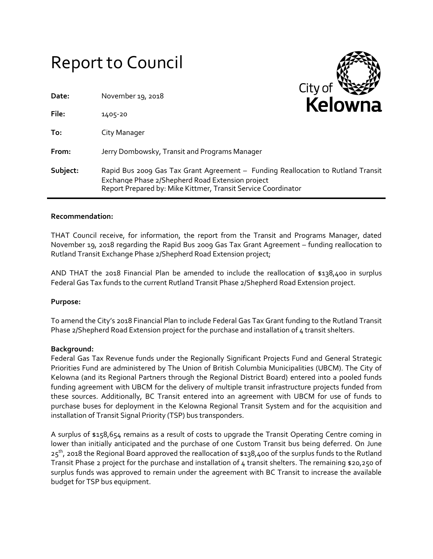# Report to Council

| Date:    | November 19, 2018                                                                                                                                                                                     | $City$ of $W$<br><b>Kelowna</b> |
|----------|-------------------------------------------------------------------------------------------------------------------------------------------------------------------------------------------------------|---------------------------------|
| File:    | 1405-20                                                                                                                                                                                               |                                 |
| To:      | City Manager                                                                                                                                                                                          |                                 |
| From:    | Jerry Dombowsky, Transit and Programs Manager                                                                                                                                                         |                                 |
| Subject: | Rapid Bus 2009 Gas Tax Grant Agreement - Funding Reallocation to Rutland Transit<br>Exchange Phase 2/Shepherd Road Extension project<br>Report Prepared by: Mike Kittmer, Transit Service Coordinator |                                 |

#### **Recommendation:**

THAT Council receive, for information, the report from the Transit and Programs Manager, dated November 19, 2018 regarding the Rapid Bus 2009 Gas Tax Grant Agreement – funding reallocation to Rutland Transit Exchange Phase 2/Shepherd Road Extension project;

AND THAT the 2018 Financial Plan be amended to include the reallocation of \$138,400 in surplus Federal Gas Tax funds to the current Rutland Transit Phase 2/Shepherd Road Extension project.

#### **Purpose:**

To amend the City's 2018 Financial Plan to include Federal Gas Tax Grant funding to the Rutland Transit Phase 2/Shepherd Road Extension project for the purchase and installation of 4 transit shelters.

#### **Background:**

Federal Gas Tax Revenue funds under the Regionally Significant Projects Fund and General Strategic Priorities Fund are administered by The Union of British Columbia Municipalities (UBCM). The City of Kelowna (and its Regional Partners through the Regional District Board) entered into a pooled funds funding agreement with UBCM for the delivery of multiple transit infrastructure projects funded from these sources. Additionally, BC Transit entered into an agreement with UBCM for use of funds to purchase buses for deployment in the Kelowna Regional Transit System and for the acquisition and installation of Transit Signal Priority (TSP) bus transponders.

A surplus of \$158,654 remains as a result of costs to upgrade the Transit Operating Centre coming in lower than initially anticipated and the purchase of one Custom Transit bus being deferred. On June  $25<sup>th</sup>$ , 2018 the Regional Board approved the reallocation of \$138,400 of the surplus funds to the Rutland Transit Phase 2 project for the purchase and installation of 4 transit shelters. The remaining \$20,250 of surplus funds was approved to remain under the agreement with BC Transit to increase the available budget for TSP bus equipment.